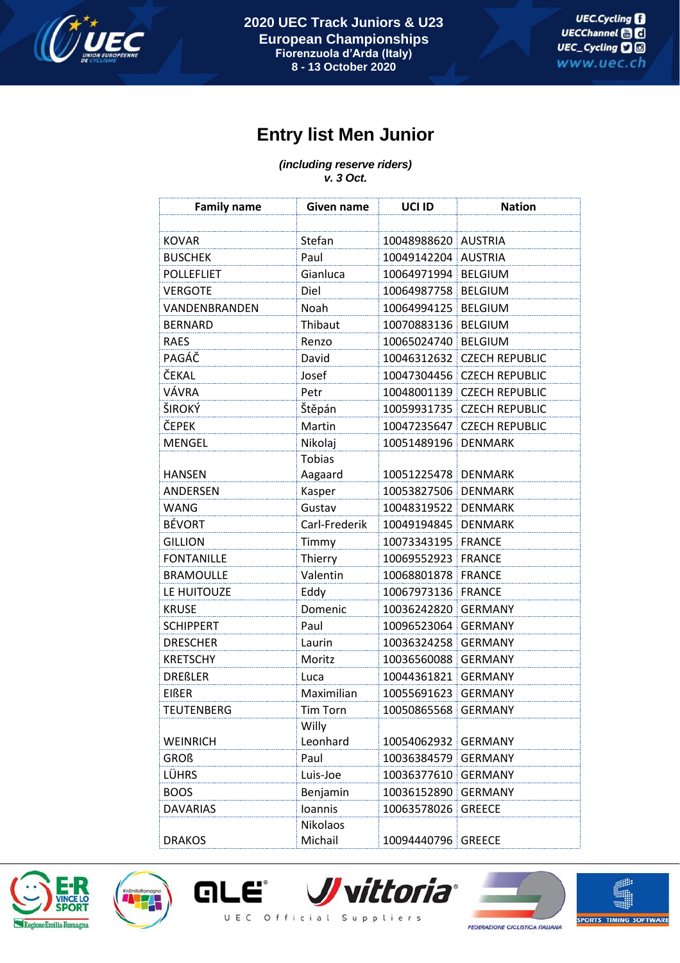

## **Entry list Men Junior**

*(including reserve riders) v. 3 Oct.*

| <b>Family name</b> | Given name          | UCI ID              | <b>Nation</b>         |
|--------------------|---------------------|---------------------|-----------------------|
|                    |                     |                     |                       |
| <b>KOVAR</b>       | Stefan              | 10048988620 AUSTRIA |                       |
| <b>BUSCHEK</b>     | Paul                | 10049142204         | <b>AUSTRIA</b>        |
| <b>POLLEFLIET</b>  | Gianluca            | 10064971994         | <b>BELGIUM</b>        |
| <b>VERGOTE</b>     | Diel                | 10064987758         | <b>BELGIUM</b>        |
| VANDENBRANDEN      | Noah                | 10064994125         | <b>BELGIUM</b>        |
| <b>BERNARD</b>     | Thibaut             | 10070883136         | <b>BELGIUM</b>        |
| <b>RAES</b>        | Renzo               | 10065024740         | <b>BELGIUM</b>        |
| PAGÁČ              | David               | 10046312632         | <b>CZECH REPUBLIC</b> |
| ČEKAL              | Josef               | 10047304456         | <b>CZECH REPUBLIC</b> |
| VÁVRA              | Petr                | 10048001139         | <b>CZECH REPUBLIC</b> |
| ŠIROKÝ             | Štěpán              | 10059931735         | <b>CZECH REPUBLIC</b> |
| ČEPEK              | Martin              | 10047235647         | <b>CZECH REPUBLIC</b> |
| <b>MENGEL</b>      | Nikolaj             | 10051489196         | <b>DENMARK</b>        |
|                    | <b>Tobias</b>       |                     |                       |
| <b>HANSEN</b>      | Aagaard             | 10051225478         | <b>DENMARK</b>        |
| ANDERSEN           | Kasper              | 10053827506         | <b>DENMARK</b>        |
| <b>WANG</b>        | Gustav              | 10048319522         | <b>DENMARK</b>        |
| <b>BÉVORT</b>      | Carl-Frederik       | 10049194845         | <b>DENMARK</b>        |
| <b>GILLION</b>     | Timmy               | 10073343195         | <b>FRANCE</b>         |
| <b>FONTANILLE</b>  | Thierry             | 10069552923         | <b>FRANCE</b>         |
| <b>BRAMOULLE</b>   | Valentin            | 10068801878         | <b>FRANCE</b>         |
| LE HUITOUZE        | Eddy                | 10067973136         | <b>FRANCE</b>         |
| <b>KRUSE</b>       | Domenic             | 10036242820         | <b>GERMANY</b>        |
| <b>SCHIPPERT</b>   | Paul                | 10096523064         | <b>GERMANY</b>        |
| <b>DRESCHER</b>    | Laurin              | 10036324258         | <b>GERMANY</b>        |
| <b>KRETSCHY</b>    | Moritz              | 10036560088         | <b>GERMANY</b>        |
| <b>DREßLER</b>     | Luca                | 10044361821         | <b>GERMANY</b>        |
| <b>EIßER</b>       | Maximilian          | 10055691623         | <b>GERMANY</b>        |
| <b>TEUTENBERG</b>  | <b>Tim Torn</b>     | 10050865568 GERMANY |                       |
|                    | Willy               |                     |                       |
| <b>WEINRICH</b>    | Leonhard            | 10054062932         | <b>GERMANY</b>        |
| <b>GROß</b>        | Paul                | 10036384579         | <b>GERMANY</b>        |
| LÜHRS              | Luis-Joe            | 10036377610         | <b>GERMANY</b>        |
| <b>BOOS</b>        | Benjamin            | 10036152890         | <b>GERMANY</b>        |
| <b>DAVARIAS</b>    | Ioannis             | 10063578026         | <b>GREECE</b>         |
| <b>DRAKOS</b>      | Nikolaos<br>Michail | 10094440796         | <b>GREECE</b>         |





**GLE** 







UEC Official Suppliers

**FEDERAZIONE CICLISTICA ITALIANA**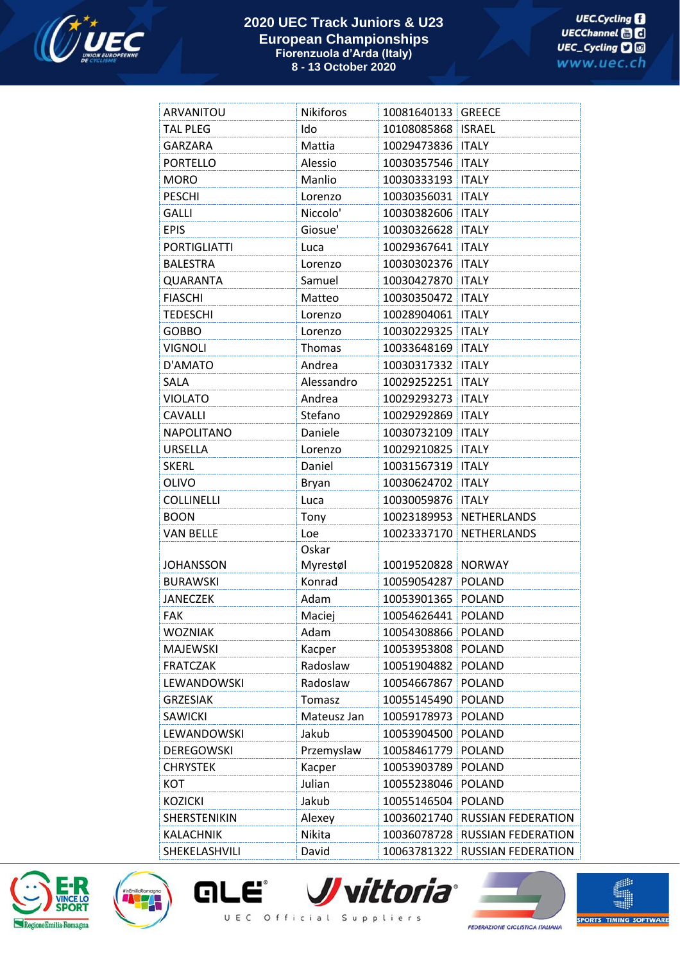

## **2020 UEC Track Juniors & U23 European Championships Fiorenzuola d'Arda (Italy) 8 - 13 October 2020**

| ARVANITOU           | Nikiforos    | 10081640133         | <b>GREECE</b>             |
|---------------------|--------------|---------------------|---------------------------|
| <b>TAL PLEG</b>     | Ido          | 10108085868         | <b>ISRAEL</b>             |
| <b>GARZARA</b>      | Mattia       | 10029473836         | <b>ITALY</b>              |
| <b>PORTELLO</b>     | Alessio      | 10030357546         | <b>ITALY</b>              |
| <b>MORO</b>         | Manlio       | 10030333193         | <b>ITALY</b>              |
| <b>PESCHI</b>       | Lorenzo      | 10030356031         | <b>ITALY</b>              |
| <b>GALLI</b>        | Niccolo'     | 10030382606         | <b>ITALY</b>              |
| <b>EPIS</b>         | Giosue'      | 10030326628   ITALY |                           |
| <b>PORTIGLIATTI</b> | Luca         | 10029367641         | <b>ITALY</b>              |
| <b>BALESTRA</b>     | Lorenzo      | 10030302376         | <b>ITALY</b>              |
| <b>QUARANTA</b>     | Samuel       | 10030427870         | <b>ITALY</b>              |
| <b>FIASCHI</b>      | Matteo       | 10030350472         | <b>ITALY</b>              |
| <b>TEDESCHI</b>     | Lorenzo      | 10028904061         | <b>ITALY</b>              |
| <b>GOBBO</b>        | Lorenzo      | 10030229325         | <b>ITALY</b>              |
| <b>VIGNOLI</b>      | Thomas       | 10033648169         | <b>ITALY</b>              |
| D'AMATO             | Andrea       | 10030317332         | <b>ITALY</b>              |
| SALA                | Alessandro   | 10029252251         | <b>ITALY</b>              |
| <b>VIOLATO</b>      | Andrea       | 10029293273         | <b>ITALY</b>              |
| <b>CAVALLI</b>      | Stefano      | 10029292869         | <b>ITALY</b>              |
| <b>NAPOLITANO</b>   | Daniele      | 10030732109         | <b>ITALY</b>              |
| <b>URSELLA</b>      | Lorenzo      | 10029210825         | <b>ITALY</b>              |
| <b>SKERL</b>        | Daniel       | 10031567319         | <b>ITALY</b>              |
| <b>OLIVO</b>        | <b>Bryan</b> | 10030624702         | <b>ITALY</b>              |
| <b>COLLINELLI</b>   | Luca         | 10030059876         | <b>ITALY</b>              |
| <b>BOON</b>         | Tony         | 10023189953         | NETHERLANDS               |
| <b>VAN BELLE</b>    | Loe          | 10023337170         | NETHERLANDS               |
|                     | Oskar        |                     |                           |
| <b>JOHANSSON</b>    | Myrestøl     | 10019520828 NORWAY  |                           |
| <b>BURAWSKI</b>     | Konrad       | 10059054287         | <b>POLAND</b>             |
| <b>JANECZEK</b>     | Adam         | 10053901365         | <b>POLAND</b>             |
| FAK                 | Maciej       | 10054626441         | POLAND                    |
| <b>WOZNIAK</b>      | Adam         | 10054308866         | <b>POLAND</b>             |
| <b>MAJEWSKI</b>     | Kacper       | 10053953808         | <b>POLAND</b>             |
| <b>FRATCZAK</b>     | Radoslaw     | 10051904882         | <b>POLAND</b>             |
| LEWANDOWSKI         | Radoslaw     | 10054667867         | <b>POLAND</b>             |
| <b>GRZESIAK</b>     | Tomasz       | 10055145490         | <b>POLAND</b>             |
| <b>SAWICKI</b>      | Mateusz Jan  | 10059178973 POLAND  |                           |
| LEWANDOWSKI         | Jakub        | 10053904500         | <b>POLAND</b>             |
| <b>DEREGOWSKI</b>   | Przemyslaw   | 10058461779 POLAND  |                           |
| <b>CHRYSTEK</b>     | Kacper       | 10053903789         | <b>POLAND</b>             |
| KOT                 | Julian       | 10055238046         | <b>POLAND</b>             |
| <b>KOZICKI</b>      | Jakub        | 10055146504         | <b>POLAND</b>             |
| SHERSTENIKIN        | Alexey       | 10036021740         | <b>RUSSIAN FEDERATION</b> |
| KALACHNIK           | Nikita       | 10036078728         | RUSSIAN FEDERATION        |
| SHEKELASHVILI       | David        | 10063781322         | RUSSIAN FEDERATION        |